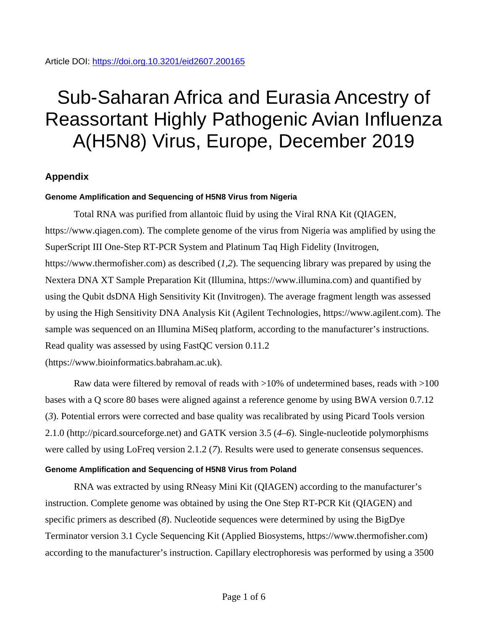# Sub-Saharan Africa and Eurasia Ancestry of Reassortant Highly Pathogenic Avian Influenza A(H5N8) Virus, Europe, December 2019

# **Appendix**

## **Genome Amplification and Sequencing of H5N8 Virus from Nigeria**

Total RNA was purified from allantoic fluid by using the Viral RNA Kit (QIAGEN, https://www.qiagen.com). The complete genome of the virus from Nigeria was amplified by using the SuperScript III One-Step RT-PCR System and Platinum Taq High Fidelity (Invitrogen, https://www.thermofisher.com) as described (*1,2*). The sequencing library was prepared by using the Nextera DNA XT Sample Preparation Kit (Illumina, https://www.illumina.com) and quantified by using the Qubit dsDNA High Sensitivity Kit (Invitrogen). The average fragment length was assessed by using the High Sensitivity DNA Analysis Kit (Agilent Technologies, https://www.agilent.com). The sample was sequenced on an Illumina MiSeq platform, according to the manufacturer's instructions. Read quality was assessed by using FastQC version 0.11.2 (https://www.bioinformatics.babraham.ac.uk).

Raw data were filtered by removal of reads with >10% of undetermined bases, reads with >100 bases with a Q score 80 bases were aligned against a reference genome by using BWA version 0.7.12 (*3*). Potential errors were corrected and base quality was recalibrated by using Picard Tools version 2.1.0 (http://picard.sourceforge.net) and GATK version 3.5 (*4–6*). Single-nucleotide polymorphisms were called by using LoFreq version 2.1.2 (*7*). Results were used to generate consensus sequences.

## **Genome Amplification and Sequencing of H5N8 Virus from Poland**

RNA was extracted by using RNeasy Mini Kit (QIAGEN) according to the manufacturer's instruction. Complete genome was obtained by using the One Step RT-PCR Kit (QIAGEN) and specific primers as described (*8*). Nucleotide sequences were determined by using the BigDye Terminator version 3.1 Cycle Sequencing Kit (Applied Biosystems, https://www.thermofisher.com) according to the manufacturer's instruction. Capillary electrophoresis was performed by using a 3500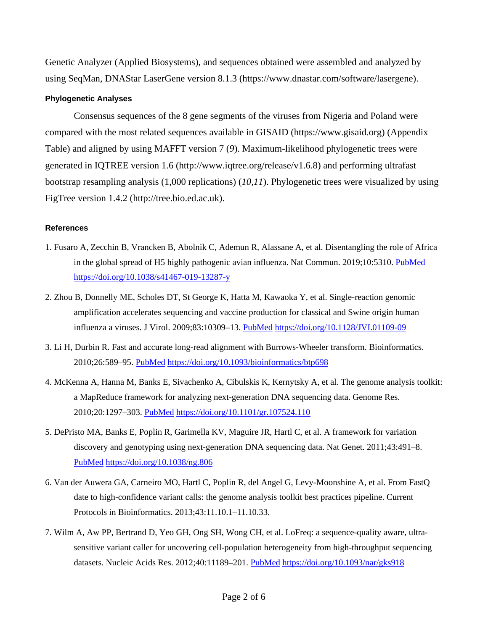Genetic Analyzer (Applied Biosystems), and sequences obtained were assembled and analyzed by using SeqMan, DNAStar LaserGene version 8.1.3 (https://www.dnastar.com/software/lasergene).

#### **Phylogenetic Analyses**

Consensus sequences of the 8 gene segments of the viruses from Nigeria and Poland were compared with the most related sequences available in GISAID (https://www.gisaid.org) (Appendix Table) and aligned by using MAFFT version 7 (*9*). Maximum-likelihood phylogenetic trees were generated in IQTREE version 1.6 (http://www.iqtree.org/release/v1.6.8) and performing ultrafast bootstrap resampling analysis (1,000 replications) (*10,11*). Phylogenetic trees were visualized by using FigTree version 1.4.2 (http://tree.bio.ed.ac.uk).

#### **References**

- 1. Fusaro A, Zecchin B, Vrancken B, Abolnik C, Ademun R, Alassane A, et al. Disentangling the role of Africa in the global spread of H5 highly pathogenic avian influenza. Nat Commun. 2019;10:5310. [PubMed](https://www.ncbi.nlm.nih.gov/entrez/query.fcgi?cmd=Retrieve&db=PubMed&list_uids=31757953&dopt=Abstract) <https://doi.org/10.1038/s41467-019-13287-y>
- 2. Zhou B, Donnelly ME, Scholes DT, St George K, Hatta M, Kawaoka Y, et al. Single-reaction genomic amplification accelerates sequencing and vaccine production for classical and Swine origin human influenza a viruses. J Virol. 2009;83:10309–13. [PubMed](https://www.ncbi.nlm.nih.gov/entrez/query.fcgi?cmd=Retrieve&db=PubMed&list_uids=19605485&dopt=Abstract) <https://doi.org/10.1128/JVI.01109-09>
- 3. Li H, Durbin R. Fast and accurate long-read alignment with Burrows-Wheeler transform. Bioinformatics. 2010;26:589–95. [PubMed](https://www.ncbi.nlm.nih.gov/entrez/query.fcgi?cmd=Retrieve&db=PubMed&list_uids=20080505&dopt=Abstract) <https://doi.org/10.1093/bioinformatics/btp698>
- 4. McKenna A, Hanna M, Banks E, Sivachenko A, Cibulskis K, Kernytsky A, et al. The genome analysis toolkit: a MapReduce framework for analyzing next-generation DNA sequencing data. Genome Res. 2010;20:1297–303. [PubMed](https://www.ncbi.nlm.nih.gov/entrez/query.fcgi?cmd=Retrieve&db=PubMed&list_uids=20644199&dopt=Abstract) <https://doi.org/10.1101/gr.107524.110>
- 5. DePristo MA, Banks E, Poplin R, Garimella KV, Maguire JR, Hartl C, et al. A framework for variation discovery and genotyping using next-generation DNA sequencing data. Nat Genet. 2011;43:491–8[.](https://www.ncbi.nlm.nih.gov/entrez/query.fcgi?cmd=Retrieve&db=PubMed&list_uids=21478889&dopt=Abstract) [PubMed](https://www.ncbi.nlm.nih.gov/entrez/query.fcgi?cmd=Retrieve&db=PubMed&list_uids=21478889&dopt=Abstract) <https://doi.org/10.1038/ng.806>
- 6. Van der Auwera GA, Carneiro MO, Hartl C, Poplin R, del Angel G, Levy-Moonshine A, et al. From FastQ date to high-confidence variant calls: the genome analysis toolkit best practices pipeline. Current Protocols in Bioinformatics. 2013;43:11.10.1–11.10.33.
- 7. Wilm A, Aw PP, Bertrand D, Yeo GH, Ong SH, Wong CH, et al. LoFreq: a sequence-quality aware, ultrasensitive variant caller for uncovering cell-population heterogeneity from high-throughput sequencing datasets. Nucleic Acids Res. 2012;40:11189-201. [PubMed](https://www.ncbi.nlm.nih.gov/entrez/query.fcgi?cmd=Retrieve&db=PubMed&list_uids=23066108&dopt=Abstract) <https://doi.org/10.1093/nar/gks918>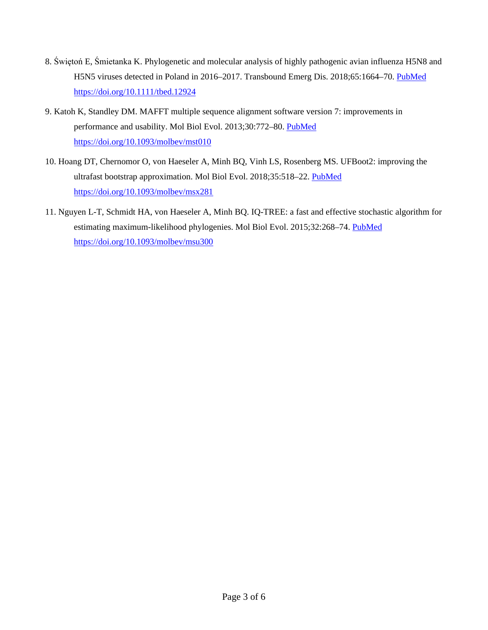- 8. Świętoń E, Śmietanka K. Phylogenetic and molecular analysis of highly pathogenic avian influenza H5N8 and H5N5 viruses detected in Poland in 2016–2017. Transbound Emerg Dis. 2018;65:1664–70. [PubMed](https://www.ncbi.nlm.nih.gov/entrez/query.fcgi?cmd=Retrieve&db=PubMed&list_uids=29920971&dopt=Abstract) <https://doi.org/10.1111/tbed.12924>
- 9. Katoh K, Standley DM. MAFFT multiple sequence alignment software version 7: improvements in performance and usability. Mol Biol Evol. 2013;30:772–80. [PubMed](https://www.ncbi.nlm.nih.gov/entrez/query.fcgi?cmd=Retrieve&db=PubMed&list_uids=23329690&dopt=Abstract) <https://doi.org/10.1093/molbev/mst010>
- 10. Hoang DT, Chernomor O, von Haeseler A, Minh BQ, Vinh LS, Rosenberg MS. UFBoot2: improving the ultrafast bootstrap approximation. Mol Biol Evol. 2018;35:518–22. [PubMed](https://www.ncbi.nlm.nih.gov/entrez/query.fcgi?cmd=Retrieve&db=PubMed&list_uids=29077904&dopt=Abstract) <https://doi.org/10.1093/molbev/msx281>
- 11. Nguyen L-T, Schmidt HA, von Haeseler A, Minh BQ. IQ-TREE: a fast and effective stochastic algorithm for estimating maximum-likelihood phylogenies. Mol Biol Evol. 2015;32:268–74. [PubMed](https://www.ncbi.nlm.nih.gov/entrez/query.fcgi?cmd=Retrieve&db=PubMed&list_uids=25371430&dopt=Abstract) <https://doi.org/10.1093/molbev/msu300>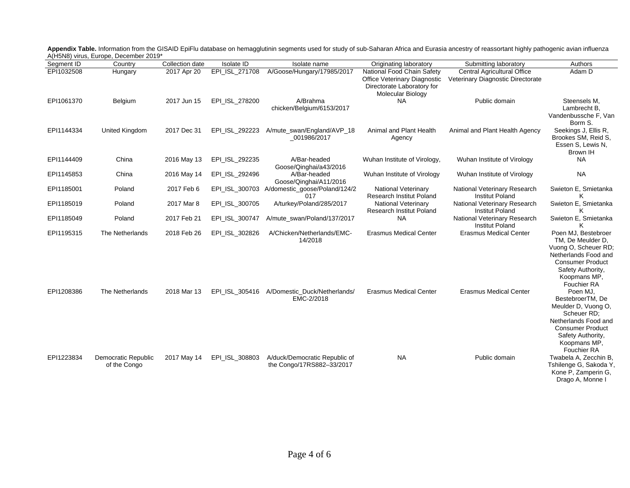|            | $A(1)$ is 1907 virus, Europe, December 2019 |                 |                   |                                                            |                                                                                                               |                                                                         |                                                                                                                                                                           |
|------------|---------------------------------------------|-----------------|-------------------|------------------------------------------------------------|---------------------------------------------------------------------------------------------------------------|-------------------------------------------------------------------------|---------------------------------------------------------------------------------------------------------------------------------------------------------------------------|
| Segment ID | Country                                     | Collection date | <b>Isolate ID</b> | Isolate name                                               | Originating laboratory                                                                                        | Submitting laboratory                                                   | Authors                                                                                                                                                                   |
| EPI1032508 | Hungary                                     | 2017 Apr 20     | EPI ISL 271708    | A/Goose/Hungary/17985/2017                                 | National Food Chain Safety<br>Office Veterinary Diagnostic<br>Directorate Laboratory for<br>Molecular Biology | <b>Central Agricultural Office</b><br>Veterinary Diagnostic Directorate | Adam D                                                                                                                                                                    |
| EPI1061370 | Belgium                                     | 2017 Jun 15     | EPI_ISL_278200    | A/Brahma<br>chicken/Belgium/6153/2017                      | <b>NA</b>                                                                                                     | Public domain                                                           | Steensels M.<br>Lambrecht B.<br>Vandenbussche F, Van<br>Borm S.                                                                                                           |
| EPI1144334 | United Kingdom                              | 2017 Dec 31     | EPI ISL 292223    | A/mute_swan/England/AVP_18<br>001986/2017                  | Animal and Plant Health<br>Agency                                                                             | Animal and Plant Health Agency                                          | Seekings J, Ellis R,<br>Brookes SM, Reid S,<br>Essen S, Lewis N,<br>Brown IH                                                                                              |
| EPI1144409 | China                                       | 2016 May 13     | EPI_ISL_292235    | A/Bar-headed<br>Goose/Qinghai/a43/2016                     | Wuhan Institute of Virology,                                                                                  | Wuhan Institute of Virology                                             | <b>NA</b>                                                                                                                                                                 |
| EPI1145853 | China                                       | 2016 May 14     | EPI_ISL_292496    | A/Bar-headed<br>Goose/Qinghai/A11/2016                     | Wuhan Institute of Virology                                                                                   | Wuhan Institute of Virology                                             | <b>NA</b>                                                                                                                                                                 |
| EPI1185001 | Poland                                      | 2017 Feb 6      | EPI_ISL_300703    | A/domestic_goose/Poland/124/2<br>017                       | <b>National Veterinary</b><br>Research Institut Poland                                                        | National Veterinary Research<br><b>Institut Poland</b>                  | Swieton E, Smietanka<br>ĸ                                                                                                                                                 |
| EPI1185019 | Poland                                      | 2017 Mar 8      | EPI_ISL_300705    | A/turkey/Poland/285/2017                                   | <b>National Veterinary</b><br>Research Institut Poland                                                        | National Veterinary Research<br><b>Institut Poland</b>                  | Swieton E, Smietanka<br>κ                                                                                                                                                 |
| EPI1185049 | Poland                                      | 2017 Feb 21     | EPI ISL 300747    | A/mute swan/Poland/137/2017                                | <b>NA</b>                                                                                                     | National Veterinary Research<br><b>Institut Poland</b>                  | Swieton E, Smietanka<br>Κ                                                                                                                                                 |
| EPI1195315 | The Netherlands                             | 2018 Feb 26     | EPI_ISL_302826    | A/Chicken/Netherlands/EMC-<br>14/2018                      | <b>Erasmus Medical Center</b>                                                                                 | <b>Erasmus Medical Center</b>                                           | Poen MJ, Bestebroer<br>TM, De Meulder D,<br>Vuong O, Scheuer RD;<br>Netherlands Food and<br><b>Consumer Product</b><br>Safety Authority,<br>Koopmans MP,<br>Fouchier RA   |
| EPI1208386 | The Netherlands                             | 2018 Mar 13     | EPI_ISL_305416    | A/Domestic Duck/Netherlands/<br>EMC-2/2018                 | <b>Erasmus Medical Center</b>                                                                                 | <b>Erasmus Medical Center</b>                                           | Poen MJ,<br>BestebroerTM, De<br>Meulder D, Vuong O,<br>Scheuer RD;<br>Netherlands Food and<br><b>Consumer Product</b><br>Safety Authority,<br>Koopmans MP,<br>Fouchier RA |
| EPI1223834 | Democratic Republic<br>of the Congo         | 2017 May 14     | EPI_ISL_308803    | A/duck/Democratic Republic of<br>the Congo/17RS882-33/2017 | <b>NA</b>                                                                                                     | Public domain                                                           | Twabela A, Zecchin B,<br>Tshilenge G, Sakoda Y,<br>Kone P, Zamperin G,<br>Drago A, Monne I                                                                                |

**Appendix Table.** Information from the GISAID EpiFlu database on hemagglutinin segments used for study of sub-Saharan Africa and Eurasia ancestry of reassortant highly pathogenic avian influenza A(H5N8) virus, Europe, December 2019\*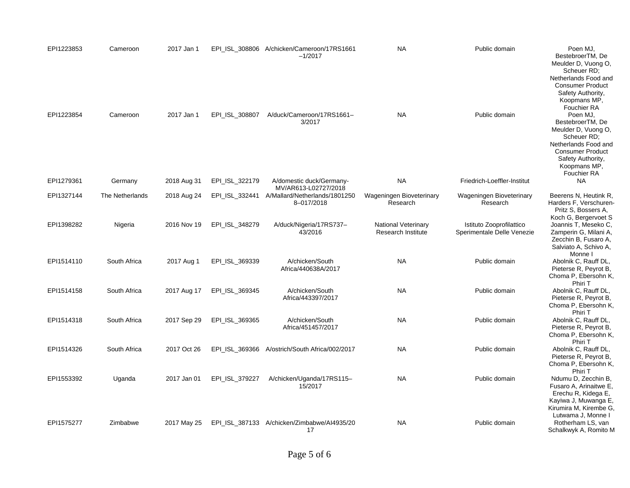| EPI1223853 | Cameroon        | 2017 Jan 1  |                | EPI_ISL_308806 A/chicken/Cameroon/17RS1661<br>$-1/2017$ | <b>NA</b>                                               | Public domain                                          | Poen MJ,<br>BestebroerTM, De<br>Meulder D, Vuong O,<br>Scheuer RD;<br>Netherlands Food and<br><b>Consumer Product</b><br>Safety Authority,<br>Koopmans MP,                               |
|------------|-----------------|-------------|----------------|---------------------------------------------------------|---------------------------------------------------------|--------------------------------------------------------|------------------------------------------------------------------------------------------------------------------------------------------------------------------------------------------|
| EPI1223854 | Cameroon        | 2017 Jan 1  | EPI ISL 308807 | A/duck/Cameroon/17RS1661-<br>3/2017                     | <b>NA</b>                                               | Public domain                                          | Fouchier RA<br>Poen MJ,<br>BestebroerTM, De<br>Meulder D, Vuong O,<br>Scheuer RD;<br>Netherlands Food and<br><b>Consumer Product</b><br>Safety Authority,<br>Koopmans MP,<br>Fouchier RA |
| EPI1279361 | Germany         | 2018 Aug 31 | EPI_ISL_322179 | A/domestic duck/Germany-<br>MV/AR613-L02727/2018        | <b>NA</b>                                               | Friedrich-Loeffler-Institut                            | <b>NA</b>                                                                                                                                                                                |
| EPI1327144 | The Netherlands | 2018 Aug 24 | EPI_ISL_332441 | A/Mallard/Netherlands/1801250<br>8-017/2018             | Wageningen Bioveterinary<br>Research                    | Wageningen Bioveterinary<br>Research                   | Beerens N, Heutink R,<br>Harders F, Verschuren-<br>Pritz S, Bossers A,<br>Koch G, Bergervoet S                                                                                           |
| EPI1398282 | Nigeria         | 2016 Nov 19 | EPI ISL 348279 | A/duck/Nigeria/17RS737-<br>43/2016                      | <b>National Veterinary</b><br><b>Research Institute</b> | Istituto Zooprofilattico<br>Sperimentale Delle Venezie | Joannis T, Meseko C,<br>Zamperin G, Milani A,<br>Zecchin B, Fusaro A,<br>Salviato A, Schivo A,<br>Monne I                                                                                |
| EPI1514110 | South Africa    | 2017 Aug 1  | EPI ISL 369339 | A/chicken/South<br>Africa/440638A/2017                  | <b>NA</b>                                               | Public domain                                          | Abolnik C, Rauff DL,<br>Pieterse R, Peyrot B,<br>Choma P, Ebersohn K,<br>Phiri T                                                                                                         |
| EPI1514158 | South Africa    | 2017 Aug 17 | EPI_ISL_369345 | A/chicken/South<br>Africa/443397/2017                   | <b>NA</b>                                               | Public domain                                          | Abolnik C, Rauff DL,<br>Pieterse R, Peyrot B,<br>Choma P, Ebersohn K,<br>Phiri T                                                                                                         |
| EPI1514318 | South Africa    | 2017 Sep 29 | EPI_ISL_369365 | A/chicken/South<br>Africa/451457/2017                   | <b>NA</b>                                               | Public domain                                          | Abolnik C, Rauff DL,<br>Pieterse R, Peyrot B,<br>Choma P, Ebersohn K,<br>Phiri T                                                                                                         |
| EPI1514326 | South Africa    | 2017 Oct 26 | EPI ISL 369366 | A/ostrich/South Africa/002/2017                         | <b>NA</b>                                               | Public domain                                          | Abolnik C, Rauff DL,<br>Pieterse R, Peyrot B,<br>Choma P, Ebersohn K,<br>Phiri T                                                                                                         |
| EPI1553392 | Uganda          | 2017 Jan 01 | EPI_ISL_379227 | A/chicken/Uganda/17RS115-<br>15/2017                    | <b>NA</b>                                               | Public domain                                          | Ndumu D, Zecchin B,<br>Fusaro A, Arinaitwe E,<br>Erechu R, Kidega E,<br>Kayiwa J, Muwanga E,<br>Kirumira M, Kirembe G.<br>Lutwama J, Monne I                                             |
| EPI1575277 | Zimbabwe        | 2017 May 25 |                | EPI_ISL_387133 A/chicken/Zimbabwe/Al4935/20<br>17       | <b>NA</b>                                               | Public domain                                          | Rotherham LS, van<br>Schalkwyk A, Romito M                                                                                                                                               |